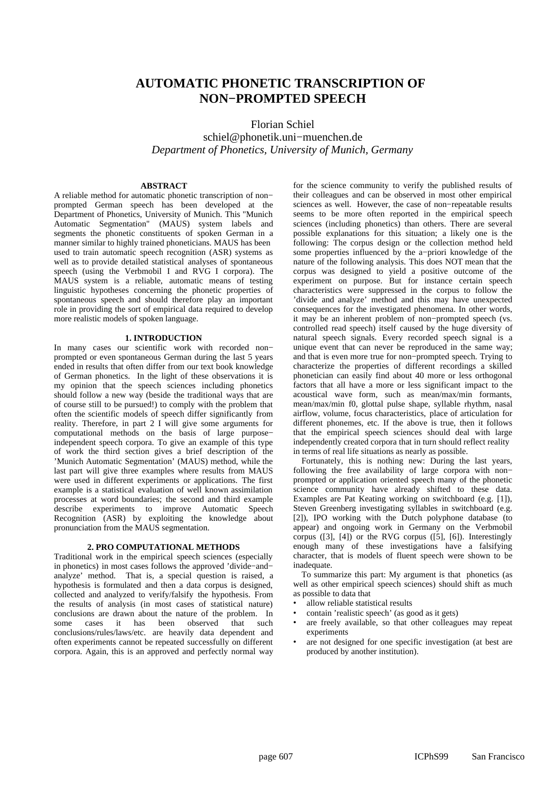# **AUTOMATIC PHONETIC TRANSCRIPTION OF NON−PROMPTED SPEECH**

Florian Schiel schiel@phonetik.uni−muenchen.de *Department of Phonetics, University of Munich, Germany*

# **ABSTRACT**

A reliable method for automatic phonetic transcription of non− prompted German speech has been developed at the Department of Phonetics, University of Munich. This "Munich Automatic Segmentation" (MAUS) system labels and segments the phonetic constituents of spoken German in a manner similar to highly trained phoneticians. MAUS has been used to train automatic speech recognition (ASR) systems as well as to provide detailed statistical analyses of spontaneous speech (using the Verbmobil I and RVG I corpora). The MAUS system is a reliable, automatic means of testing linguistic hypotheses concerning the phonetic properties of spontaneous speech and should therefore play an important role in providing the sort of empirical data required to develop more realistic models of spoken language.

# **1. INTRODUCTION**

In many cases our scientific work with recorded non− prompted or even spontaneous German during the last 5 years ended in results that often differ from our text book knowledge of German phonetics. In the light of these observations it is my opinion that the speech sciences including phonetics should follow a new way (beside the traditional ways that are of course still to be pursued!) to comply with the problem that often the scientific models of speech differ significantly from reality. Therefore, in part 2 I will give some arguments for computational methods on the basis of large purpose− independent speech corpora. To give an example of this type of work the third section gives a brief description of the 'Munich Automatic Segmentation' (MAUS) method, while the last part will give three examples where results from MAUS were used in different experiments or applications. The first example is a statistical evaluation of well known assimilation processes at word boundaries; the second and third example describe experiments to improve Automatic Speech Recognition (ASR) by exploiting the knowledge about pronunciation from the MAUS segmentation.

# **2. PRO COMPUTATIONAL METHODS**

Traditional work in the empirical speech sciences (especially in phonetics) in most cases follows the approved 'divide−and− analyze' method. That is, a special question is raised, a hypothesis is formulated and then a data corpus is designed, collected and analyzed to verify/falsify the hypothesis. From the results of analysis (in most cases of statistical nature) conclusions are drawn about the nature of the problem. In some cases it has been observed that conclusions/rules/laws/etc. are heavily data dependent and often experiments cannot be repeated successfully on different corpora. Again, this is an approved and perfectly normal way

for the science community to verify the published results of their colleagues and can be observed in most other empirical sciences as well. However, the case of non−repeatable results seems to be more often reported in the empirical speech sciences (including phonetics) than others. There are several possible explanations for this situation; a likely one is the following: The corpus design or the collection method held some properties influenced by the a−priori knowledge of the nature of the following analysis. This does NOT mean that the corpus was designed to yield a positive outcome of the experiment on purpose. But for instance certain speech characteristics were suppressed in the corpus to follow the 'divide and analyze' method and this may have unexpected consequences for the investigated phenomena. In other words, it may be an inherent problem of non−prompted speech (vs. controlled read speech) itself caused by the huge diversity of natural speech signals. Every recorded speech signal is a unique event that can never be reproduced in the same way; and that is even more true for non−prompted speech. Trying to characterize the properties of different recordings a skilled phonetician can easily find about 40 more or less orthogonal factors that all have a more or less significant impact to the acoustical wave form, such as mean/max/min formants, mean/max/min f0, glottal pulse shape, syllable rhythm, nasal airflow, volume, focus characteristics, place of articulation for different phonemes, etc. If the above is true, then it follows that the empirical speech sciences should deal with large independently created corpora that in turn should reflect reality in terms of real life situations as nearly as possible.

Fortunately, this is nothing new: During the last years, following the free availability of large corpora with non− prompted or application oriented speech many of the phonetic science community have already shifted to these data. Examples are Pat Keating working on switchboard (e.g. [1]), Steven Greenberg investigating syllables in switchboard (e.g. [2]), IPO working with the Dutch polyphone database (to appear) and ongoing work in Germany on the Verbmobil corpus ([3], [4]) or the RVG corpus ([5], [6]). Interestingly enough many of these investigations have a falsifying character, that is models of fluent speech were shown to be inadequate.

To summarize this part: My argument is that phonetics (as well as other empirical speech sciences) should shift as much as possible to data that

- •allow reliable statistical results
- •contain 'realistic speech' (as good as it gets)
- • are freely available, so that other colleagues may repeat experiments
- • are not designed for one specific investigation (at best are produced by another institution).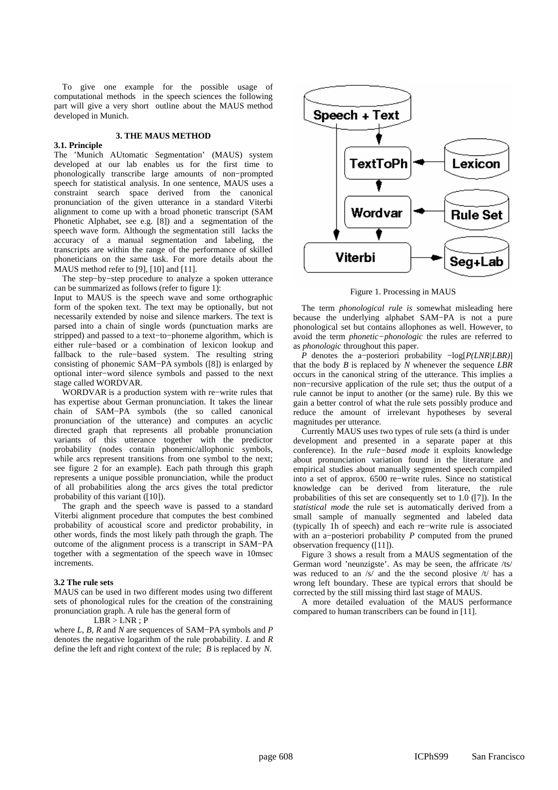To give one example for the possible usage of computational methods in the speech sciences the following part will give a very short outline about the MAUS method developed in Munich.

#### **3. THE MAUS METHOD**

# **3.1. Principle**

The 'Munich AUtomatic Segmentation' (MAUS) system developed at our lab enables us for the first time to phonologically transcribe large amounts of non−prompted speech for statistical analysis. In one sentence, MAUS uses a constraint search space derived from the canonical pronunciation of the given utterance in a standard Viterbi alignment to come up with a broad phonetic transcript (SAM Phonetic Alphabet, see e.g. [8]) and a segmentation of the speech wave form. Although the segmentation still lacks the accuracy of a manual segmentation and labeling, the transcripts are within the range of the performance of skilled phoneticians on the same task. For more details about the MAUS method refer to [9], [10] and [11].

The step−by−step procedure to analyze a spoken utterance can be summarized as follows (refer to figure 1):

Input to MAUS is the speech wave and some orthographic form of the spoken text. The text may be optionally, but not necessarily extended by noise and silence markers. The text is parsed into a chain of single words (punctuation marks are stripped) and passed to a text−to−phoneme algorithm, which is either rule−based or a combination of lexicon lookup and fallback to the rule−based system. The resulting string consisting of phonemic SAM−PA symbols ([8]) is enlarged by optional inter−word silence symbols and passed to the next stage called WORDVAR.

WORDVAR is a production system with re−write rules that has expertise about German pronunciation. It takes the linear chain of SAM−PA symbols (the so called canonical pronunciation of the utterance) and computes an acyclic directed graph that represents all probable pronunciation variants of this utterance together with the predictor probability (nodes contain phonemic/allophonic symbols, while arcs represent transitions from one symbol to the next; see figure 2 for an example). Each path through this graph represents a unique possible pronunciation, while the product of all probabilities along the arcs gives the total predictor probability of this variant ([10]).

The graph and the speech wave is passed to a standard Viterbi alignment procedure that computes the best combined probability of acoustical score and predictor probability, in other words, finds the most likely path through the graph. The outcome of the alignment process is a transcript in SAM−PA together with a segmentation of the speech wave in 10msec increments.

#### **3.2 The rule sets**

MAUS can be used in two different modes using two different sets of phonological rules for the creation of the constraining pronunciation graph. A rule has the general form of

 $LBR > LNR$ ; P

where *L, B, R* and *N* are sequences of SAM−PA symbols and *P* denotes the negative logarithm of the rule probability. *L* and *R* define the left and right context of the rule; *B* is replaced by *N*.



Figure 1. Processing in MAUS

The term *phonological rule is* somewhat misleading here because the underlying alphabet SAM−PA is not a pure phonological set but contains allophones as well. However, to avoid the term *phonetic−phonologic* the rules are referred to as *phonologic* throughout this paper.

*P* denotes the a−posteriori probability −log[*P(LNR*/LBR)] that the body *B* is replaced by *N* whenever the sequence *LBR* occurs in the canonical string of the utterance. This implies a non−recursive application of the rule set; thus the output of a rule cannot be input to another (or the same) rule. By this we gain a better control of what the rule sets possibly produce and reduce the amount of irrelevant hypotheses by several magnitudes per utterance.

Currently MAUS uses two types of rule sets (a third is under development and presented in a separate paper at this conference). In the *rule−based mode* it exploits knowledge about pronunciation variation found in the literature and empirical studies about manually segmented speech compiled into a set of approx. 6500 re−write rules. Since no statistical knowledge can be derived from literature, the rule probabilities of this set are consequently set to 1.0 ([7]). In the *statistical mode* the rule set is automatically derived from a small sample of manually segmented and labeled data (typically 1h of speech) and each re−write rule is associated with an a−posteriori probability *P* computed from the pruned observation frequency ([11]).

Figure 3 shows a result from a MAUS segmentation of the German word 'neunzigste'. As may be seen, the affricate /ts/ was reduced to an /s/ and the the second plosive /t/ has a wrong left boundary. These are typical errors that should be corrected by the still missing third last stage of MAUS.

A more detailed evaluation of the MAUS performance compared to human transcribers can be found in  $[11]$ .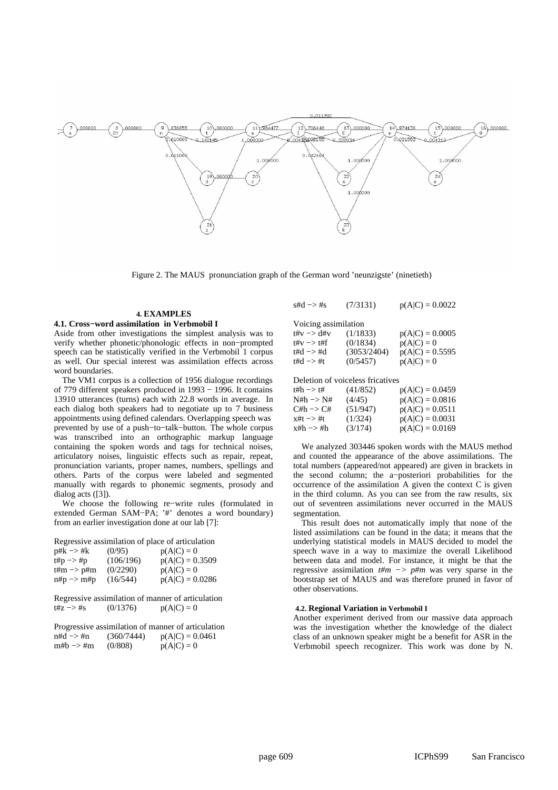

Figure 2. The MAUS pronunciation graph of the German word 'neunzigste' (ninetieth)

## **4. EXAMPLES 4.1. Cross−word assimilation in Verbmobil I**

Aside from other investigations the simplest analysis was to verify whether phonetic/phonologic effects in non−prompted speech can be statistically verified in the Verbmobil 1 corpus as well. Our special interest was assimilation effects across word boundaries.

The VM1 corpus is a collection of 1956 dialogue recordings of 779 different speakers produced in 1993 − 1996. It contains 13910 utterances (turns) each with 22.8 words in average. In each dialog both speakers had to negotiate up to 7 business appointments using defined calendars. Overlapping speech was prevented by use of a push−to−talk−button. The whole corpus was transcribed into an orthographic markup language containing the spoken words and tags for technical noises, articulatory noises, linguistic effects such as repair, repeat, pronunciation variants, proper names, numbers, spellings and others. Parts of the corpus were labeled and segmented manually with regards to phonemic segments, prosody and dialog acts ([3]).

We choose the following re−write rules (formulated in extended German SAM−PA; '#' denotes a word boundary) from an earlier investigation done at our lab [7]:

Regressive assimilation of place of articulation

| $p#k \rightarrow \#k$                                   | (0/95)    | $p(A C) = 0$      |
|---------------------------------------------------------|-----------|-------------------|
| $\text{t#p} \rightarrow \text{#p}$                      | (106/196) | $p(A C) = 0.3509$ |
| $\text{t} \# \text{m} \rightarrow \text{p} \# \text{m}$ | (0/2290)  | $p(A C) = 0$      |
| $n#p \rightarrow m#p$                                   | (16/544)  | $p(A C) = 0.0286$ |

Regressive assimilation of manner of articulation t#z -> #s (0/1376)  $p(A|C) = 0$ 

| Progressive assimilation of manner of articulation |            |                   |  |  |
|----------------------------------------------------|------------|-------------------|--|--|
| $n#d \Rightarrow #n$                               | (360/7444) | $p(A C) = 0.0461$ |  |  |
| $m#b \rightarrow \#m$                              | (0/808)    | $p(A C) = 0$      |  |  |

| $\text{std} \rightarrow \text{Hs}$    | (7/3131)    | $p(A C) = 0.0022$ |
|---------------------------------------|-------------|-------------------|
| Voicing assimilation                  |             |                   |
| $\text{t#v} \rightarrow \text{d#v}$   | (1/1833)    | $p(A C) = 0.0005$ |
| $\text{t\#v} \rightarrow \text{t\#f}$ | (0/1834)    | $p(A C) = 0$      |
| $t\#d \rightarrow \#d$                | (3053/2404) | $p(A C) = 0.5595$ |
| $t#d \rightarrow \#t$                 | (0/5457)    | $p(A C) = 0$      |
|                                       |             |                   |

Deletion of voiceless fricatives

| t#h —> t# | (41/852) | $p(A C) = 0.0459$ |
|-----------|----------|-------------------|
| N#h –> N# | (4/45)   | $p(A C) = 0.0816$ |
| C#h –> C# | (51/947) | $p(A C) = 0.0511$ |
| x#t —> #t | (1/324)  | $p(A C) = 0.0031$ |
| x#h —> #h | (3/174)  | $p(A C) = 0.0169$ |

We analyzed 303446 spoken words with the MAUS method and counted the appearance of the above assimilations. The total numbers (appeared/not appeared) are given in brackets in the second column; the a−posteriori probabilities for the occurrence of the assimilation A given the context C is given in the third column. As you can see from the raw results, six out of seventeen assimilations never occurred in the MAUS segmentation.

This result does not automatically imply that none of the listed assimilations can be found in the data; it means that the underlying statistical models in MAUS decided to model the speech wave in a way to maximize the overall Likelihood between data and model. For instance, it might be that the regressive assimilation *t#m −> p#m* was very sparse in the bootstrap set of MAUS and was therefore pruned in favor of other observations.

## **4.2. Regional Variation in Verbmobil I**

Another experiment derived from our massive data approach was the investigation whether the knowledge of the dialect class of an unknown speaker might be a benefit for ASR in the Verbmobil speech recognizer. This work was done by N.